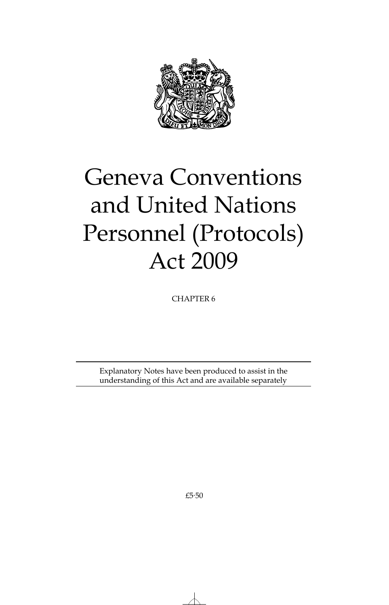

# Geneva Conventions and United Nations Personnel (Protocols) Act 2009

CHAPTER 6

Explanatory Notes have been produced to assist in the understanding of this Act and are available separately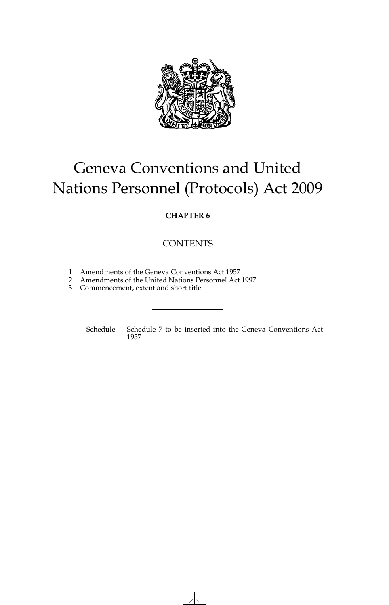

# Geneva Conventions and United Nations Personnel (Protocols) Act 2009

### **CHAPTER 6**

## **CONTENTS**

- 1 Amendments of the Geneva Conventions Act 1957
- 2 Amendments of the United Nations Personnel Act 1997
- 3 Commencement, extent and short title

Schedule — Schedule 7 to be inserted into the Geneva Conventions Act 1957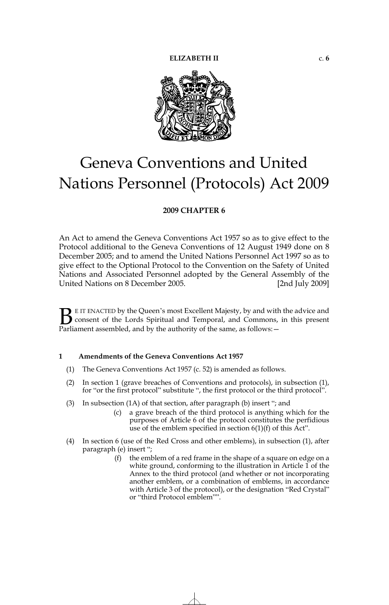

# Geneva Conventions and United Nations Personnel (Protocols) Act 2009

#### **2009 CHAPTER 6**

An Act to amend the Geneva Conventions Act 1957 so as to give effect to the Protocol additional to the Geneva Conventions of 12 August 1949 done on 8 December 2005; and to amend the United Nations Personnel Act 1997 so as to give effect to the Optional Protocol to the Convention on the Safety of United Nations and Associated Personnel adopted by the General Assembly of the United Nations on 8 December 2005. [2nd July 2009]

E IT ENACTED by the Queen's most Excellent Majesty, by and with the advice and consent of the Lords Spiritual and Temporal, and Commons, in this present **B** E IT ENACTED by the Queen's most Excellent Majesty, by and with consent of the Lords Spiritual and Temporal, and Commons, Parliament assembled, and by the authority of the same, as follows:

#### **1 Amendments of the Geneva Conventions Act 1957**

- (1) The Geneva Conventions Act 1957 (c. 52) is amended as follows.
- (2) In section 1 (grave breaches of Conventions and protocols), in subsection (1), for "or the first protocol" substitute ", the first protocol or the third protocol".
- (3) In subsection (1A) of that section, after paragraph (b) insert "; and
	- (c) a grave breach of the third protocol is anything which for the purposes of Article 6 of the protocol constitutes the perfidious use of the emblem specified in section  $6(1)(f)$  of this Act".
- (4) In section 6 (use of the Red Cross and other emblems), in subsection (1), after paragraph (e) insert ";
	- (f) the emblem of a red frame in the shape of a square on edge on a white ground, conforming to the illustration in Article  $\tilde{1}$  of the Annex to the third protocol (and whether or not incorporating another emblem, or a combination of emblems, in accordance with Article 3 of the protocol), or the designation "Red Crystal" or "third Protocol emblem"".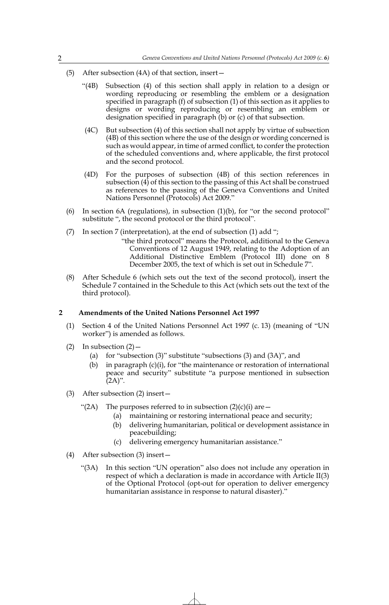- (5) After subsection (4A) of that section, insert—
	- "(4B) Subsection (4) of this section shall apply in relation to a design or wording reproducing or resembling the emblem or a designation specified in paragraph (f) of subsection (1) of this section as it applies to designs or wording reproducing or resembling an emblem or designation specified in paragraph (b) or (c) of that subsection.
	- (4C) But subsection (4) of this section shall not apply by virtue of subsection (4B) of this section where the use of the design or wording concerned is such as would appear, in time of armed conflict, to confer the protection of the scheduled conventions and, where applicable, the first protocol and the second protocol.
	- (4D) For the purposes of subsection (4B) of this section references in subsection (4) of this section to the passing of this Act shall be construed as references to the passing of the Geneva Conventions and United Nations Personnel (Protocols) Act 2009."
- (6) In section 6A (regulations), in subsection  $(1)(b)$ , for "or the second protocol" substitute ", the second protocol or the third protocol".
- (7) In section 7 (interpretation), at the end of subsection (1) add ";
	- "the third protocol" means the Protocol, additional to the Geneva Conventions of 12 August 1949, relating to the Adoption of an Additional Distinctive Emblem (Protocol III) done on 8 December 2005, the text of which is set out in Schedule 7".
- (8) After Schedule 6 (which sets out the text of the second protocol), insert the Schedule 7 contained in the Schedule to this Act (which sets out the text of the third protocol).

#### **2 Amendments of the United Nations Personnel Act 1997**

- (1) Section 4 of the United Nations Personnel Act 1997 (c. 13) (meaning of "UN worker") is amended as follows.
- (2) In subsection  $(2)$ 
	- (a) for "subsection (3)" substitute "subsections (3) and (3A)", and
	- (b) in paragraph  $(c)(i)$ , for "the maintenance or restoration of international peace and security" substitute "a purpose mentioned in subsection  $(2A)$ ".
- (3) After subsection (2) insert—
	- "(2A) The purposes referred to in subsection  $(2)(c)(i)$  are  $-$ 
		- (a) maintaining or restoring international peace and security;
		- (b) delivering humanitarian, political or development assistance in peacebuilding;
		- (c) delivering emergency humanitarian assistance."
- (4) After subsection (3) insert—
	- "(3A) In this section "UN operation" also does not include any operation in respect of which a declaration is made in accordance with Article II(3) of the Optional Protocol (opt-out for operation to deliver emergency humanitarian assistance in response to natural disaster)."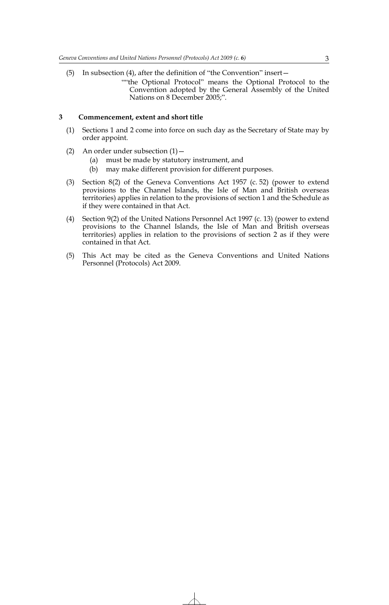- (5) In subsection (4), after the definition of "the Convention" insert—
	- ""the Optional Protocol" means the Optional Protocol to the Convention adopted by the General Assembly of the United Nations on 8 December 2005;".

#### **3 Commencement, extent and short title**

- (1) Sections 1 and 2 come into force on such day as the Secretary of State may by order appoint.
- (2) An order under subsection  $(1)$  -
	- (a) must be made by statutory instrument, and
	- (b) may make different provision for different purposes.
- (3) Section 8(2) of the Geneva Conventions Act 1957 (c. 52) (power to extend provisions to the Channel Islands, the Isle of Man and British overseas territories) applies in relation to the provisions of section 1 and the Schedule as if they were contained in that Act.
- (4) Section 9(2) of the United Nations Personnel Act 1997 (c. 13) (power to extend provisions to the Channel Islands, the Isle of Man and British overseas territories) applies in relation to the provisions of section 2 as if they were contained in that Act.
- (5) This Act may be cited as the Geneva Conventions and United Nations Personnel (Protocols) Act 2009.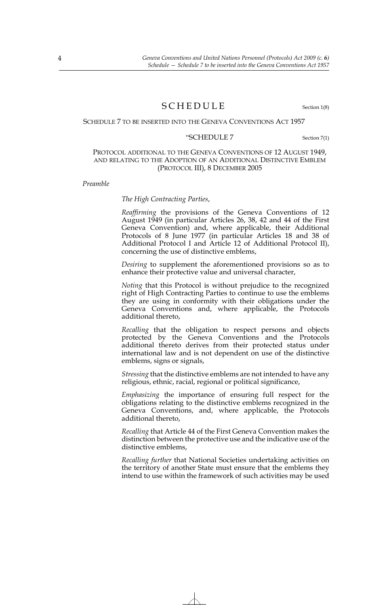### SCHEDULE Section 1(8)

#### SCHEDULE 7 TO BE INSERTED INTO THE GENEVA CONVENTIONS ACT 1957

#### "SCHEDULE 7 Section 7(1)

#### PROTOCOL ADDITIONAL TO THE GENEVA CONVENTIONS OF 12 AUGUST 1949, AND RELATING TO THE ADOPTION OF AN ADDITIONAL DISTINCTIVE EMBLEM (PROTOCOL III), 8 DECEMBER 2005

*Preamble*

#### *The High Contracting Parties*,

*Reaffirming* the provisions of the Geneva Conventions of 12 August 1949 (in particular Articles 26, 38, 42 and 44 of the First Geneva Convention) and, where applicable, their Additional Protocols of 8 June 1977 (in particular Articles 18 and 38 of Additional Protocol I and Article 12 of Additional Protocol II), concerning the use of distinctive emblems,

*Desiring* to supplement the aforementioned provisions so as to enhance their protective value and universal character,

*Noting* that this Protocol is without prejudice to the recognized right of High Contracting Parties to continue to use the emblems they are using in conformity with their obligations under the Geneva Conventions and, where applicable, the Protocols additional thereto,

*Recalling* that the obligation to respect persons and objects protected by the Geneva Conventions and the Protocols additional thereto derives from their protected status under international law and is not dependent on use of the distinctive emblems, signs or signals,

*Stressing* that the distinctive emblems are not intended to have any religious, ethnic, racial, regional or political significance,

*Emphasizing* the importance of ensuring full respect for the obligations relating to the distinctive emblems recognized in the Geneva Conventions, and, where applicable, the Protocols additional thereto,

*Recalling* that Article 44 of the First Geneva Convention makes the distinction between the protective use and the indicative use of the distinctive emblems,

*Recalling further* that National Societies undertaking activities on the territory of another State must ensure that the emblems they intend to use within the framework of such activities may be used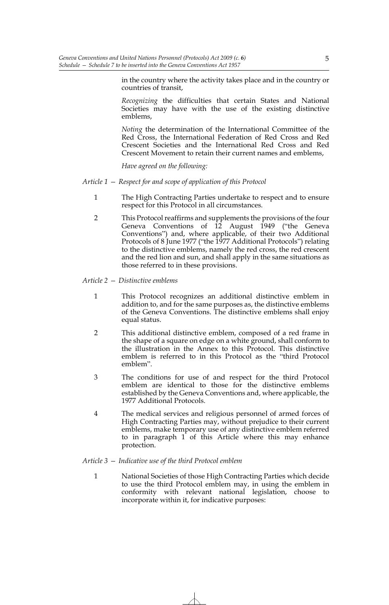in the country where the activity takes place and in the country or countries of transit,

*Recognizing* the difficulties that certain States and National Societies may have with the use of the existing distinctive emblems,

*Noting* the determination of the International Committee of the Red Cross, the International Federation of Red Cross and Red Crescent Societies and the International Red Cross and Red Crescent Movement to retain their current names and emblems,

*Have agreed on the following:*

#### *Article 1 — Respect for and scope of application of this Protocol*

- 1 The High Contracting Parties undertake to respect and to ensure respect for this Protocol in all circumstances.
- 2 This Protocol reaffirms and supplements the provisions of the four Geneva Conventions of 12 August 1949 ("the Geneva Conventions") and, where applicable, of their two Additional Protocols of 8 June 1977 ("the 1977 Additional Protocols") relating to the distinctive emblems, namely the red cross, the red crescent and the red lion and sun, and shall apply in the same situations as those referred to in these provisions.

#### *Article 2 — Distinctive emblems*

- 1 This Protocol recognizes an additional distinctive emblem in addition to, and for the same purposes as, the distinctive emblems of the Geneva Conventions. The distinctive emblems shall enjoy equal status.
- 2 This additional distinctive emblem, composed of a red frame in the shape of a square on edge on a white ground, shall conform to the illustration in the Annex to this Protocol. This distinctive emblem is referred to in this Protocol as the "third Protocol emblem".
- 3 The conditions for use of and respect for the third Protocol emblem are identical to those for the distinctive emblems established by the Geneva Conventions and, where applicable, the 1977 Additional Protocols.
- 4 The medical services and religious personnel of armed forces of High Contracting Parties may, without prejudice to their current emblems, make temporary use of any distinctive emblem referred to in paragraph 1 of this Article where this may enhance protection.

#### *Article 3 — Indicative use of the third Protocol emblem*

1 National Societies of those High Contracting Parties which decide to use the third Protocol emblem may, in using the emblem in conformity with relevant national legislation, choose to incorporate within it, for indicative purposes: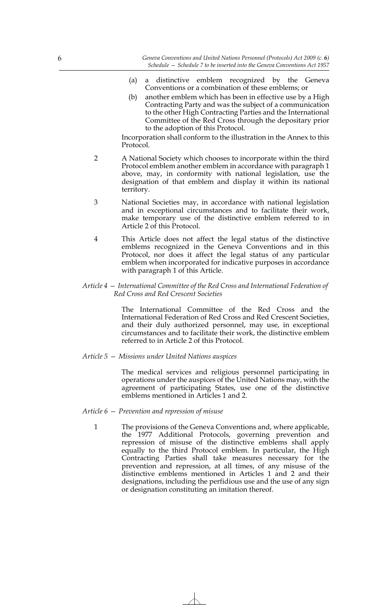- (a) a distinctive emblem recognized by the Geneva Conventions or a combination of these emblems; or
- (b) another emblem which has been in effective use by a High Contracting Party and was the subject of a communication to the other High Contracting Parties and the International Committee of the Red Cross through the depositary prior to the adoption of this Protocol.

Incorporation shall conform to the illustration in the Annex to this Protocol.

- 2 A National Society which chooses to incorporate within the third Protocol emblem another emblem in accordance with paragraph 1 above, may, in conformity with national legislation, use the designation of that emblem and display it within its national territory.
- 3 National Societies may, in accordance with national legislation and in exceptional circumstances and to facilitate their work, make temporary use of the distinctive emblem referred to in Article 2 of this Protocol.
- 4 This Article does not affect the legal status of the distinctive emblems recognized in the Geneva Conventions and in this Protocol, nor does it affect the legal status of any particular emblem when incorporated for indicative purposes in accordance with paragraph 1 of this Article.

#### *Article 4 — International Committee of the Red Cross and International Federation of Red Cross and Red Crescent Societies*

The International Committee of the Red Cross and the International Federation of Red Cross and Red Crescent Societies, and their duly authorized personnel, may use, in exceptional circumstances and to facilitate their work, the distinctive emblem referred to in Article 2 of this Protocol.

#### *Article 5 — Missions under United Nations auspices*

The medical services and religious personnel participating in operations under the auspices of the United Nations may, with the agreement of participating States, use one of the distinctive emblems mentioned in Articles 1 and 2.

#### *Article 6 — Prevention and repression of misuse*

1 The provisions of the Geneva Conventions and, where applicable, the 1977 Additional Protocols, governing prevention and repression of misuse of the distinctive emblems shall apply equally to the third Protocol emblem. In particular, the High Contracting Parties shall take measures necessary for the prevention and repression, at all times, of any misuse of the distinctive emblems mentioned in Articles 1 and 2 and their designations, including the perfidious use and the use of any sign or designation constituting an imitation thereof.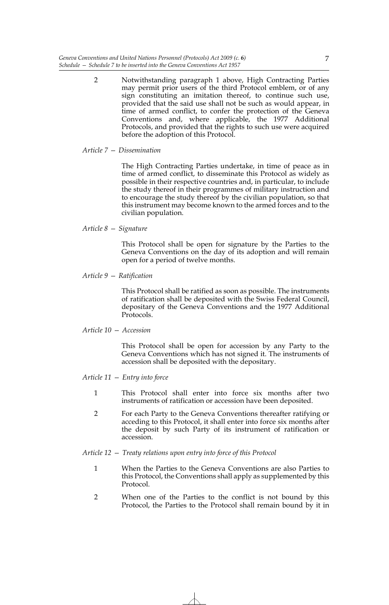2 Notwithstanding paragraph 1 above, High Contracting Parties may permit prior users of the third Protocol emblem, or of any sign constituting an imitation thereof, to continue such use, provided that the said use shall not be such as would appear, in time of armed conflict, to confer the protection of the Geneva Conventions and, where applicable, the 1977 Additional Protocols, and provided that the rights to such use were acquired before the adoption of this Protocol.

#### *Article 7 — Dissemination*

The High Contracting Parties undertake, in time of peace as in time of armed conflict, to disseminate this Protocol as widely as possible in their respective countries and, in particular, to include the study thereof in their programmes of military instruction and to encourage the study thereof by the civilian population, so that this instrument may become known to the armed forces and to the civilian population.

#### *Article 8 — Signature*

This Protocol shall be open for signature by the Parties to the Geneva Conventions on the day of its adoption and will remain open for a period of twelve months.

#### *Article 9 — Ratification*

This Protocol shall be ratified as soon as possible. The instruments of ratification shall be deposited with the Swiss Federal Council, depositary of the Geneva Conventions and the 1977 Additional Protocols.

#### *Article 10 — Accession*

This Protocol shall be open for accession by any Party to the Geneva Conventions which has not signed it. The instruments of accession shall be deposited with the depositary.

*Article 11 — Entry into force*

- 1 This Protocol shall enter into force six months after two instruments of ratification or accession have been deposited.
- 2 For each Party to the Geneva Conventions thereafter ratifying or acceding to this Protocol, it shall enter into force six months after the deposit by such Party of its instrument of ratification or accession.

#### *Article 12 — Treaty relations upon entry into force of this Protocol*

- 1 When the Parties to the Geneva Conventions are also Parties to this Protocol, the Conventions shall apply as supplemented by this Protocol.
- 2 When one of the Parties to the conflict is not bound by this Protocol, the Parties to the Protocol shall remain bound by it in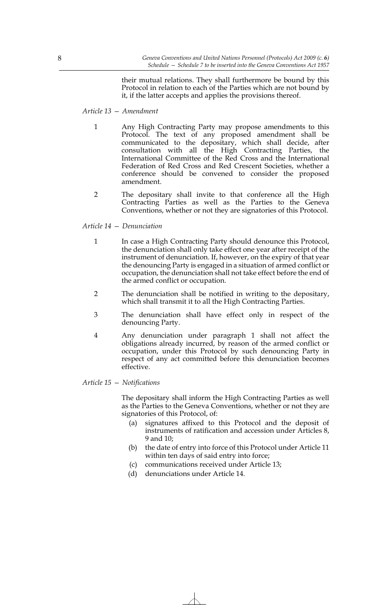their mutual relations. They shall furthermore be bound by this Protocol in relation to each of the Parties which are not bound by it, if the latter accepts and applies the provisions thereof.

#### *Article 13 — Amendment*

- 1 Any High Contracting Party may propose amendments to this Protocol. The text of any proposed amendment shall be communicated to the depositary, which shall decide, after consultation with all the High Contracting Parties, the International Committee of the Red Cross and the International Federation of Red Cross and Red Crescent Societies, whether a conference should be convened to consider the proposed amendment.
- 2 The depositary shall invite to that conference all the High Contracting Parties as well as the Parties to the Geneva Conventions, whether or not they are signatories of this Protocol.

#### *Article 14 — Denunciation*

- 1 In case a High Contracting Party should denounce this Protocol, the denunciation shall only take effect one year after receipt of the instrument of denunciation. If, however, on the expiry of that year the denouncing Party is engaged in a situation of armed conflict or occupation, the denunciation shall not take effect before the end of the armed conflict or occupation.
- 2 The denunciation shall be notified in writing to the depositary, which shall transmit it to all the High Contracting Parties.
- 3 The denunciation shall have effect only in respect of the denouncing Party.
- 4 Any denunciation under paragraph 1 shall not affect the obligations already incurred, by reason of the armed conflict or occupation, under this Protocol by such denouncing Party in respect of any act committed before this denunciation becomes effective.

*Article 15 — Notifications*

The depositary shall inform the High Contracting Parties as well as the Parties to the Geneva Conventions, whether or not they are signatories of this Protocol, of:

- (a) signatures affixed to this Protocol and the deposit of instruments of ratification and accession under Articles 8, 9 and 10;
- (b) the date of entry into force of this Protocol under Article 11 within ten days of said entry into force;
- (c) communications received under Article 13;
- (d) denunciations under Article 14.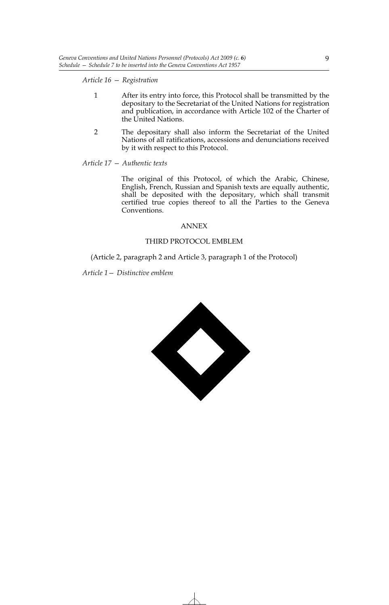*Article 16 — Registration*

- 1 After its entry into force, this Protocol shall be transmitted by the depositary to the Secretariat of the United Nations for registration and publication, in accordance with Article 102 of the Charter of the United Nations.
- 2 The depositary shall also inform the Secretariat of the United Nations of all ratifications, accessions and denunciations received by it with respect to this Protocol.

*Article 17 — Authentic texts*

The original of this Protocol, of which the Arabic, Chinese, English, French, Russian and Spanish texts are equally authentic, shall be deposited with the depositary, which shall transmit certified true copies thereof to all the Parties to the Geneva Conventions.

#### ANNEX

#### THIRD PROTOCOL EMBLEM

(Article 2, paragraph 2 and Article 3, paragraph 1 of the Protocol)

*Article 1— Distinctive emblem*